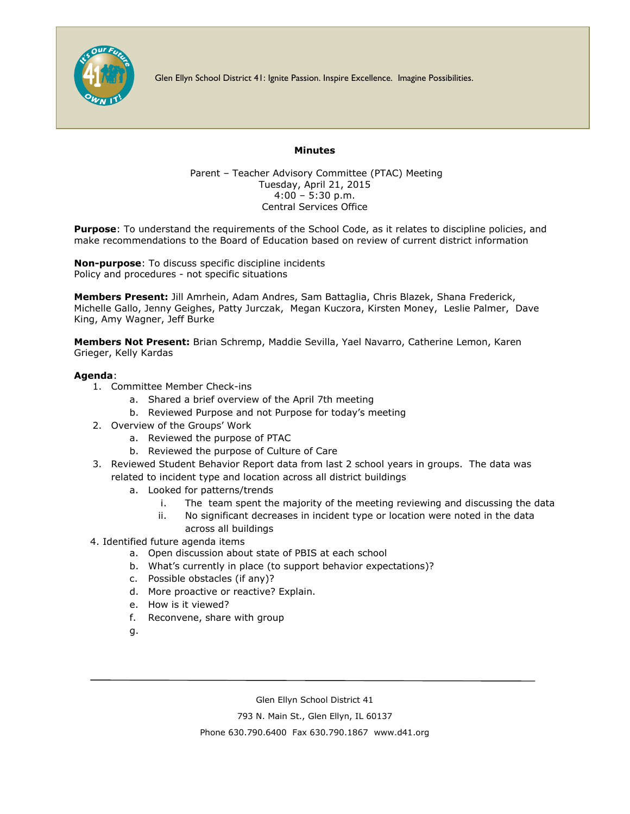

Glen Ellyn School District 41: Ignite Passion. Inspire Excellence. Imagine Possibilities.

## **Minutes**

Parent – Teacher Advisory Committee (PTAC) Meeting Tuesday, April 21, 2015 4:00 – 5:30 p.m. Central Services Office

**Purpose**: To understand the requirements of the School Code, as it relates to discipline policies, and make recommendations to the Board of Education based on review of current district information

**Non-purpose**: To discuss specific discipline incidents Policy and procedures - not specific situations

**Members Present:** Jill Amrhein, Adam Andres, Sam Battaglia, Chris Blazek, Shana Frederick, Michelle Gallo, Jenny Geighes, Patty Jurczak, Megan Kuczora, Kirsten Money, Leslie Palmer, Dave King, Amy Wagner, Jeff Burke

**Members Not Present:** Brian Schremp, Maddie Sevilla, Yael Navarro, Catherine Lemon, Karen Grieger, Kelly Kardas

## **Agenda**:

- 1. Committee Member Check-ins
	- a. Shared a brief overview of the April 7th meeting
	- b. Reviewed Purpose and not Purpose for today's meeting
- 2. Overview of the Groups' Work
	- a. Reviewed the purpose of PTAC
	- b. Reviewed the purpose of Culture of Care
- 3. Reviewed Student Behavior Report data from last 2 school years in groups. The data was related to incident type and location across all district buildings
	- a. Looked for patterns/trends
		- i. The team spent the majority of the meeting reviewing and discussing the data
		- ii. No significant decreases in incident type or location were noted in the data across all buildings
- 4. Identified future agenda items
	- a. Open discussion about state of PBIS at each school
	- b. What's currently in place (to support behavior expectations)?
	- c. Possible obstacles (if any)?
	- d. More proactive or reactive? Explain.
	- e. How is it viewed?
	- f. Reconvene, share with group
	- g.